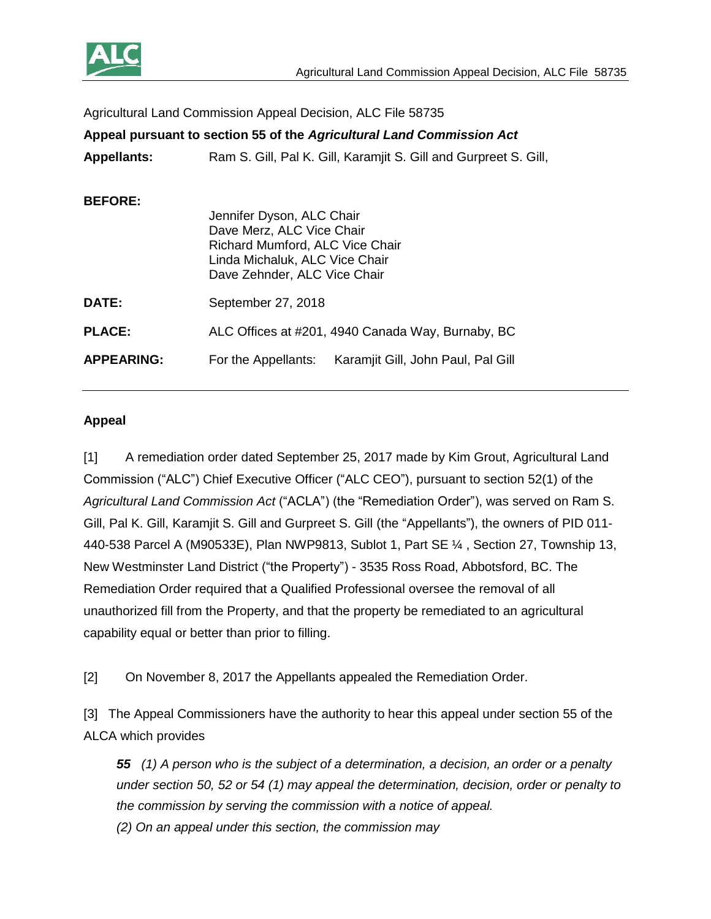

| Agricultural Land Commission Appeal Decision, ALC File 58735          |                                                                                                                             |
|-----------------------------------------------------------------------|-----------------------------------------------------------------------------------------------------------------------------|
| Appeal pursuant to section 55 of the Agricultural Land Commission Act |                                                                                                                             |
| <b>Appellants:</b>                                                    | Ram S. Gill, Pal K. Gill, Karamjit S. Gill and Gurpreet S. Gill,                                                            |
| <b>BEFORE:</b>                                                        | Jennifer Dyson, ALC Chair<br>Dave Merz, ALC Vice Chair<br>Richard Mumford, ALC Vice Chair<br>Linda Michaluk, ALC Vice Chair |
|                                                                       | Dave Zehnder, ALC Vice Chair                                                                                                |
| DATE:                                                                 | September 27, 2018                                                                                                          |
| <b>PLACE:</b>                                                         | ALC Offices at #201, 4940 Canada Way, Burnaby, BC                                                                           |
| <b>APPEARING:</b>                                                     | Karamjit Gill, John Paul, Pal Gill<br>For the Appellants:                                                                   |

#### **Appeal**

[1] A remediation order dated September 25, 2017 made by Kim Grout, Agricultural Land Commission ("ALC") Chief Executive Officer ("ALC CEO"), pursuant to section 52(1) of the *Agricultural Land Commission Act* ("ACLA") (the "Remediation Order"), was served on Ram S. Gill, Pal K. Gill, Karamjit S. Gill and Gurpreet S. Gill (the "Appellants"), the owners of PID 011- 440-538 Parcel A (M90533E), Plan NWP9813, Sublot 1, Part SE ¼ , Section 27, Township 13, New Westminster Land District ("the Property") - 3535 Ross Road, Abbotsford, BC. The Remediation Order required that a Qualified Professional oversee the removal of all unauthorized fill from the Property, and that the property be remediated to an agricultural capability equal or better than prior to filling.

[2] On November 8, 2017 the Appellants appealed the Remediation Order.

[3] The Appeal Commissioners have the authority to hear this appeal under section 55 of the ALCA which provides

*55 (1) A person who is the subject of a determination, a decision, an order or a penalty under section 50, 52 or 54 (1) may appeal the determination, decision, order or penalty to the commission by serving the commission with a notice of appeal. (2) On an appeal under this section, the commission may*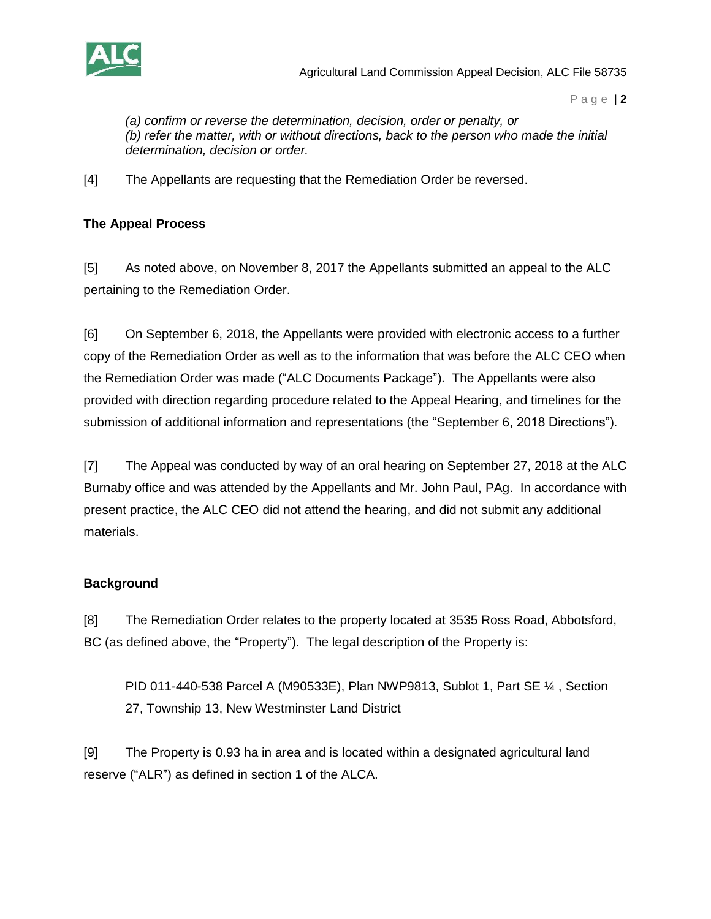

Agricultural Land Commission Appeal Decision, ALC File 58735

P a g e | **2**

*(a) confirm or reverse the determination, decision, order or penalty, or (b) refer the matter, with or without directions, back to the person who made the initial determination, decision or order.*

[4] The Appellants are requesting that the Remediation Order be reversed.

# **The Appeal Process**

[5] As noted above, on November 8, 2017 the Appellants submitted an appeal to the ALC pertaining to the Remediation Order.

[6] On September 6, 2018, the Appellants were provided with electronic access to a further copy of the Remediation Order as well as to the information that was before the ALC CEO when the Remediation Order was made ("ALC Documents Package"). The Appellants were also provided with direction regarding procedure related to the Appeal Hearing, and timelines for the submission of additional information and representations (the "September 6, 2018 Directions").

[7] The Appeal was conducted by way of an oral hearing on September 27, 2018 at the ALC Burnaby office and was attended by the Appellants and Mr. John Paul, PAg. In accordance with present practice, the ALC CEO did not attend the hearing, and did not submit any additional materials.

### **Background**

[8] The Remediation Order relates to the property located at 3535 Ross Road, Abbotsford, BC (as defined above, the "Property"). The legal description of the Property is:

PID 011-440-538 Parcel A (M90533E), Plan NWP9813, Sublot 1, Part SE ¼ , Section 27, Township 13, New Westminster Land District

[9] The Property is 0.93 ha in area and is located within a designated agricultural land reserve ("ALR") as defined in section 1 of the ALCA.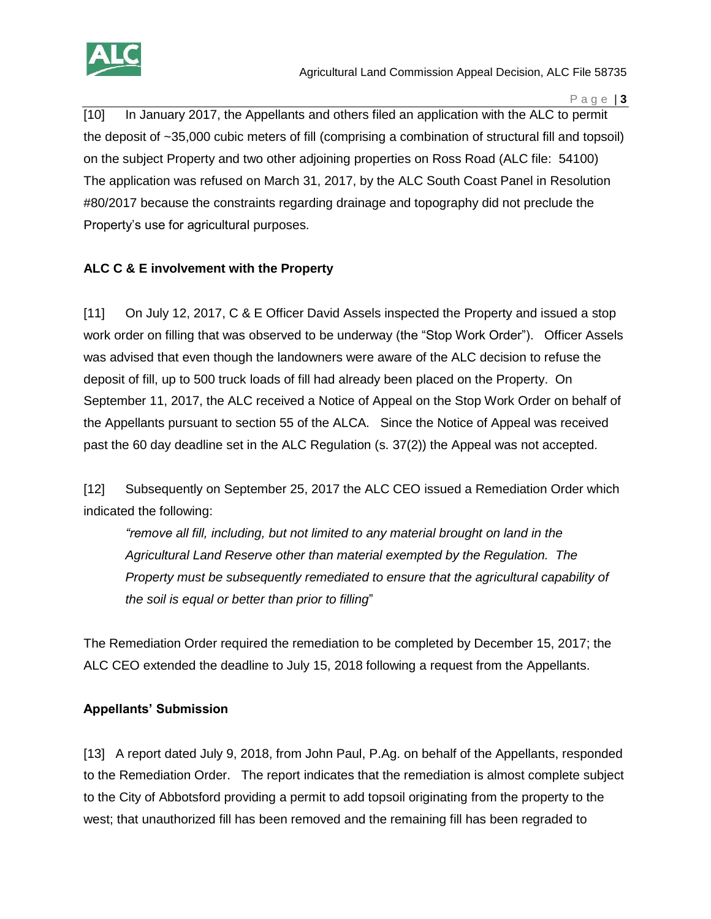

P a g e | **3**

[10] In January 2017, the Appellants and others filed an application with the ALC to permit the deposit of ~35,000 cubic meters of fill (comprising a combination of structural fill and topsoil) on the subject Property and two other adjoining properties on Ross Road (ALC file: 54100) The application was refused on March 31, 2017, by the ALC South Coast Panel in Resolution #80/2017 because the constraints regarding drainage and topography did not preclude the Property's use for agricultural purposes.

# **ALC C & E involvement with the Property**

[11] On July 12, 2017, C & E Officer David Assels inspected the Property and issued a stop work order on filling that was observed to be underway (the "Stop Work Order"). Officer Assels was advised that even though the landowners were aware of the ALC decision to refuse the deposit of fill, up to 500 truck loads of fill had already been placed on the Property. On September 11, 2017, the ALC received a Notice of Appeal on the Stop Work Order on behalf of the Appellants pursuant to section 55 of the ALCA. Since the Notice of Appeal was received past the 60 day deadline set in the ALC Regulation (s. 37(2)) the Appeal was not accepted.

[12] Subsequently on September 25, 2017 the ALC CEO issued a Remediation Order which indicated the following:

*"remove all fill, including, but not limited to any material brought on land in the Agricultural Land Reserve other than material exempted by the Regulation. The Property must be subsequently remediated to ensure that the agricultural capability of the soil is equal or better than prior to filling*"

The Remediation Order required the remediation to be completed by December 15, 2017; the ALC CEO extended the deadline to July 15, 2018 following a request from the Appellants.

### **Appellants' Submission**

[13] A report dated July 9, 2018, from John Paul, P.Ag. on behalf of the Appellants, responded to the Remediation Order. The report indicates that the remediation is almost complete subject to the City of Abbotsford providing a permit to add topsoil originating from the property to the west; that unauthorized fill has been removed and the remaining fill has been regraded to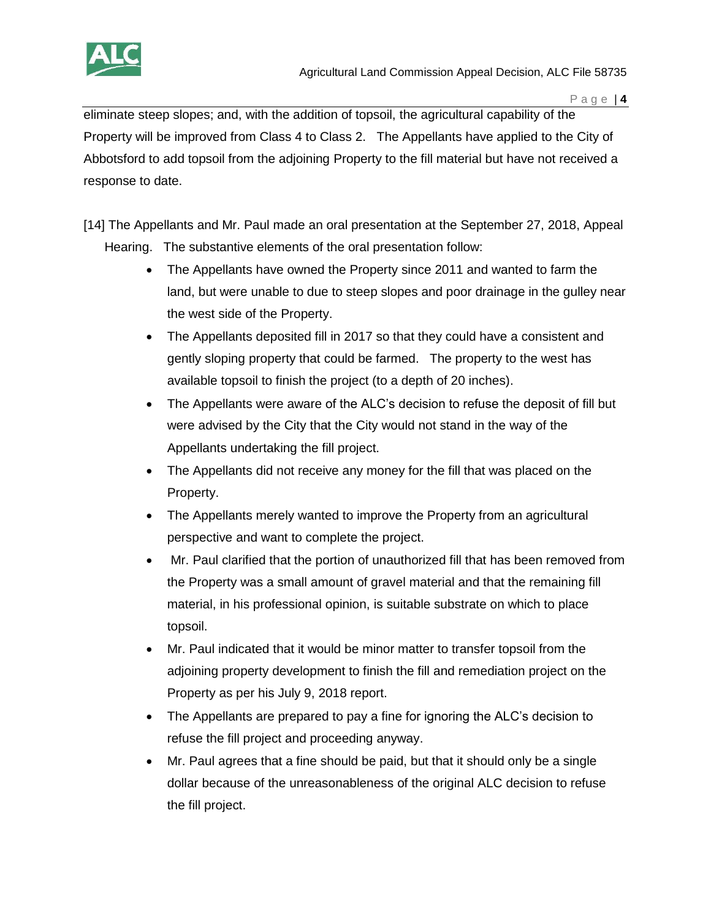

eliminate steep slopes; and, with the addition of topsoil, the agricultural capability of the Property will be improved from Class 4 to Class 2. The Appellants have applied to the City of Abbotsford to add topsoil from the adjoining Property to the fill material but have not received a response to date.

- [14] The Appellants and Mr. Paul made an oral presentation at the September 27, 2018, Appeal Hearing. The substantive elements of the oral presentation follow:
	- The Appellants have owned the Property since 2011 and wanted to farm the land, but were unable to due to steep slopes and poor drainage in the gulley near the west side of the Property.
	- The Appellants deposited fill in 2017 so that they could have a consistent and gently sloping property that could be farmed. The property to the west has available topsoil to finish the project (to a depth of 20 inches).
	- The Appellants were aware of the ALC's decision to refuse the deposit of fill but were advised by the City that the City would not stand in the way of the Appellants undertaking the fill project.
	- The Appellants did not receive any money for the fill that was placed on the Property.
	- The Appellants merely wanted to improve the Property from an agricultural perspective and want to complete the project.
	- Mr. Paul clarified that the portion of unauthorized fill that has been removed from the Property was a small amount of gravel material and that the remaining fill material, in his professional opinion, is suitable substrate on which to place topsoil.
	- Mr. Paul indicated that it would be minor matter to transfer topsoil from the adjoining property development to finish the fill and remediation project on the Property as per his July 9, 2018 report.
	- The Appellants are prepared to pay a fine for ignoring the ALC's decision to refuse the fill project and proceeding anyway.
	- Mr. Paul agrees that a fine should be paid, but that it should only be a single dollar because of the unreasonableness of the original ALC decision to refuse the fill project.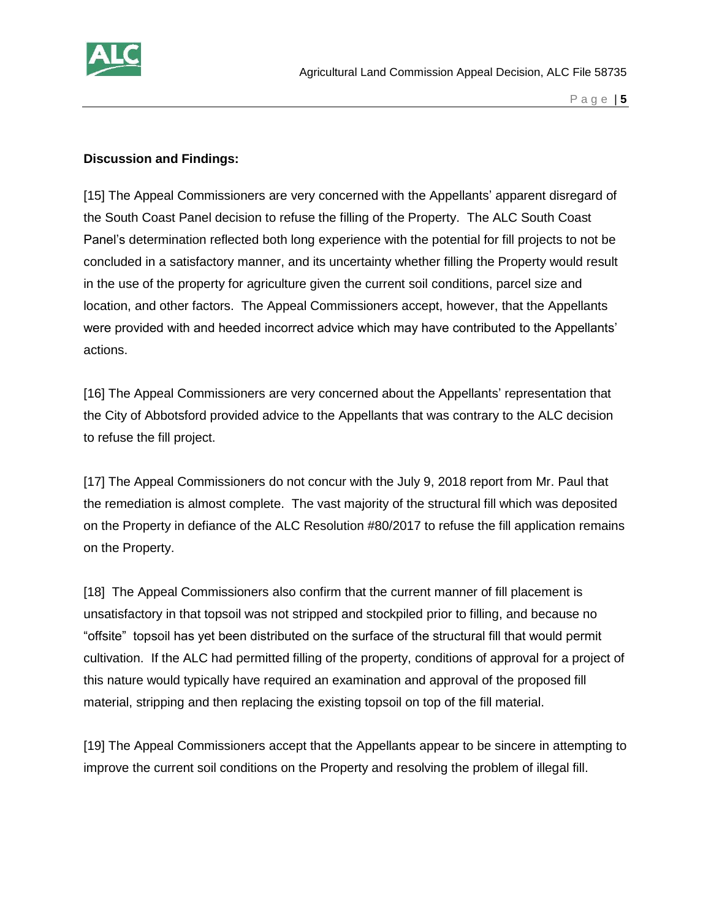

#### **Discussion and Findings:**

[15] The Appeal Commissioners are very concerned with the Appellants' apparent disregard of the South Coast Panel decision to refuse the filling of the Property. The ALC South Coast Panel's determination reflected both long experience with the potential for fill projects to not be concluded in a satisfactory manner, and its uncertainty whether filling the Property would result in the use of the property for agriculture given the current soil conditions, parcel size and location, and other factors. The Appeal Commissioners accept, however, that the Appellants were provided with and heeded incorrect advice which may have contributed to the Appellants' actions.

[16] The Appeal Commissioners are very concerned about the Appellants' representation that the City of Abbotsford provided advice to the Appellants that was contrary to the ALC decision to refuse the fill project.

[17] The Appeal Commissioners do not concur with the July 9, 2018 report from Mr. Paul that the remediation is almost complete. The vast majority of the structural fill which was deposited on the Property in defiance of the ALC Resolution #80/2017 to refuse the fill application remains on the Property.

[18] The Appeal Commissioners also confirm that the current manner of fill placement is unsatisfactory in that topsoil was not stripped and stockpiled prior to filling, and because no "offsite" topsoil has yet been distributed on the surface of the structural fill that would permit cultivation. If the ALC had permitted filling of the property, conditions of approval for a project of this nature would typically have required an examination and approval of the proposed fill material, stripping and then replacing the existing topsoil on top of the fill material.

[19] The Appeal Commissioners accept that the Appellants appear to be sincere in attempting to improve the current soil conditions on the Property and resolving the problem of illegal fill.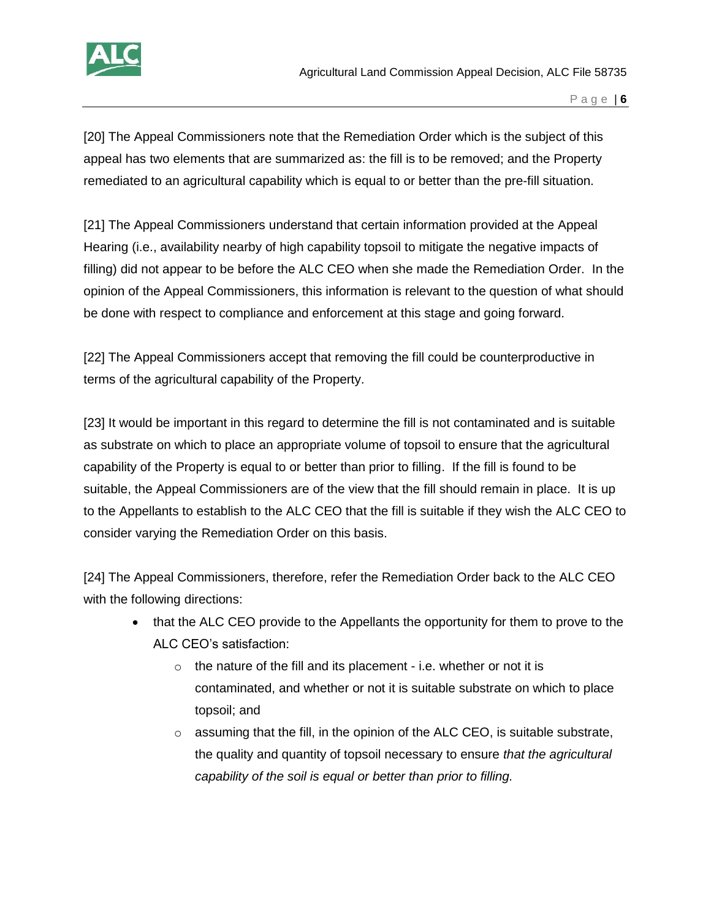

[20] The Appeal Commissioners note that the Remediation Order which is the subject of this appeal has two elements that are summarized as: the fill is to be removed; and the Property remediated to an agricultural capability which is equal to or better than the pre-fill situation.

[21] The Appeal Commissioners understand that certain information provided at the Appeal Hearing (i.e., availability nearby of high capability topsoil to mitigate the negative impacts of filling) did not appear to be before the ALC CEO when she made the Remediation Order. In the opinion of the Appeal Commissioners, this information is relevant to the question of what should be done with respect to compliance and enforcement at this stage and going forward.

[22] The Appeal Commissioners accept that removing the fill could be counterproductive in terms of the agricultural capability of the Property.

[23] It would be important in this regard to determine the fill is not contaminated and is suitable as substrate on which to place an appropriate volume of topsoil to ensure that the agricultural capability of the Property is equal to or better than prior to filling. If the fill is found to be suitable, the Appeal Commissioners are of the view that the fill should remain in place. It is up to the Appellants to establish to the ALC CEO that the fill is suitable if they wish the ALC CEO to consider varying the Remediation Order on this basis.

[24] The Appeal Commissioners, therefore, refer the Remediation Order back to the ALC CEO with the following directions:

- that the ALC CEO provide to the Appellants the opportunity for them to prove to the ALC CEO's satisfaction:
	- $\circ$  the nature of the fill and its placement i.e. whether or not it is contaminated, and whether or not it is suitable substrate on which to place topsoil; and
	- $\circ$  assuming that the fill, in the opinion of the ALC CEO, is suitable substrate, the quality and quantity of topsoil necessary to ensure *that the agricultural capability of the soil is equal or better than prior to filling.*